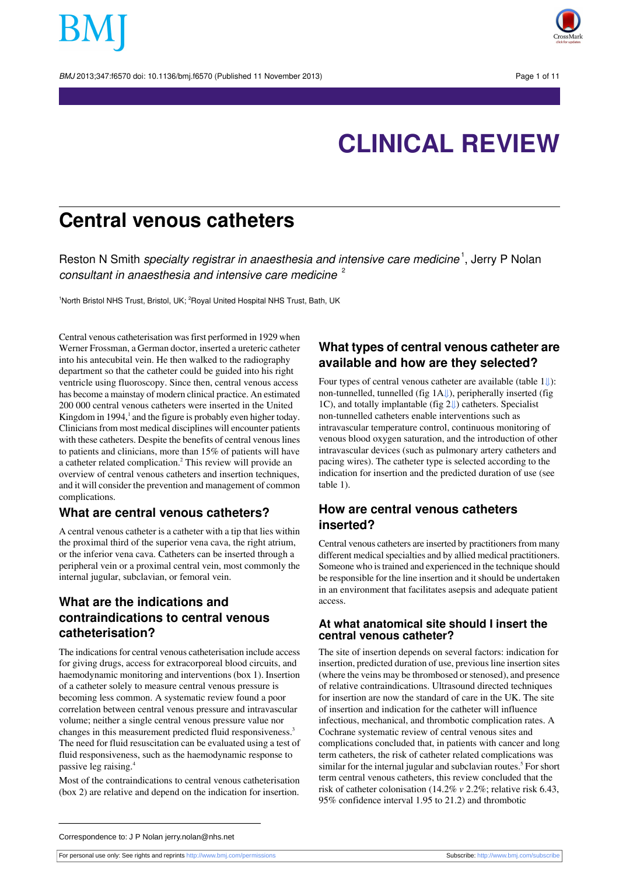BMJ 2013:347:f6570 doi: 10.1136/bmi.f6570 (Published 11 November 2013) Page 1 of 11



# **CLINICAL REVIEW**

## **Central venous catheters**

Reston N Smith *specialty registrar in anaesthesia and intensive care medicine* <sup>1</sup>, Jerry P Nolan consultant in anaesthesia and intensive care medicine<sup>2</sup>

<sup>1</sup>North Bristol NHS Trust, Bristol, UK; <sup>2</sup>Royal United Hospital NHS Trust, Bath, UK

Central venous catheterisation was first performed in 1929 when Werner Frossman, a German doctor, inserted a ureteric catheter into his antecubital vein. He then walked to the radiography department so that the catheter could be guided into his right ventricle using fluoroscopy. Since then, central venous access has become a mainstay of modern clinical practice. An estimated 200 000 central venous catheters were inserted in the United Kingdom in  $1994$ ,<sup>1</sup> and the figure is probably even higher today. Clinicians from most medical disciplines will encounter patients with these catheters. Despite the benefits of central venous lines to patients and clinicians, more than 15% of patients will have a catheter related complication.<sup>2</sup> This review will provide an overview of central venous catheters and insertion techniques, and it will consider the prevention and management of common complications.

#### **What are central venous catheters?**

A central venous catheter is a catheter with a tip that lies within the proximal third of the superior vena cava, the right atrium, or the inferior vena cava. Catheters can be inserted through a peripheral vein or a proximal central vein, most commonly the internal jugular, subclavian, or femoral vein.

## **What are the indications and contraindications to central venous catheterisation?**

The indications for central venous catheterisation include access for giving drugs, access for extracorporeal blood circuits, and haemodynamic monitoring and interventions (box 1). Insertion of a catheter solely to measure central venous pressure is becoming less common. A systematic review found a poor correlation between central venous pressure and intravascular volume; neither a single central venous pressure value nor changes in this measurement predicted fluid responsiveness.<sup>3</sup> The need for fluid resuscitation can be evaluated using a test of fluid responsiveness, such as the haemodynamic response to passive leg raising.<sup>4</sup>

Most of the contraindications to central venous catheterisation (box 2) are relative and depend on the indication for insertion.

## **What types of central venous catheter are available and how are they selected?**

Four types of central venous catheter are available (table [1⇓\)](#page-7-0): non-tunnelled, tunnelled (fig 1[A⇓](#page-9-0)), peripherally inserted (fig 1C), and totally implantable (fig 2[⇓\)](#page-10-0) catheters. Specialist non-tunnelled catheters enable interventions such as intravascular temperature control, continuous monitoring of venous blood oxygen saturation, and the introduction of other intravascular devices (such as pulmonary artery catheters and pacing wires). The catheter type is selected according to the indication for insertion and the predicted duration of use (see table 1).

## **How are central venous catheters inserted?**

Central venous catheters are inserted by practitioners from many different medical specialties and by allied medical practitioners. Someone who is trained and experienced in the technique should be responsible for the line insertion and it should be undertaken in an environment that facilitates asepsis and adequate patient access.

#### **At what anatomical site should I insert the central venous catheter?**

The site of insertion depends on several factors: indication for insertion, predicted duration of use, previousline insertion sites (where the veins may be thrombosed or stenosed), and presence of relative contraindications. Ultrasound directed techniques for insertion are now the standard of care in the UK. The site of insertion and indication for the catheter will influence infectious, mechanical, and thrombotic complication rates. A Cochrane systematic review of central venous sites and complications concluded that, in patients with cancer and long term catheters, the risk of catheter related complications was similar for the internal jugular and subclavian routes.<sup>5</sup> For short term central venous catheters, this review concluded that the risk of catheter colonisation (14.2% *v* 2.2%; relative risk 6.43, 95% confidence interval 1.95 to 21.2) and thrombotic

Correspondence to: J P Nolan jerry.nolan@nhs.net

For personal use only: See rights and reprints<http://www.bmj.com/permissions> Subscribe: <http://www.bmj.com/subscribe>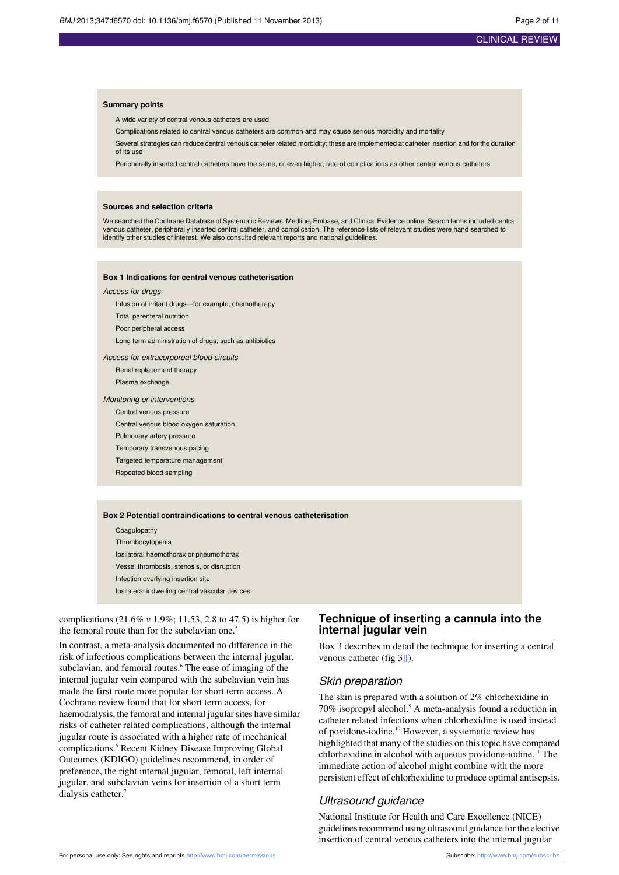#### CLINICAL REVIEW

#### **Summary points**

A wide variety of central venous catheters are used

Complications related to central venous catheters are common and may cause serious morbidity and mortality

Several strategies can reduce central venous catheter related morbidity; these are implemented at catheter insertion and for the duration of its use

Peripherally inserted central catheters have the same, or even higher, rate of complications as other central venous catheters

#### **Sources and selection criteria**

We searched the Cochrane Database of Systematic Reviews, Medline, Embase, and Clinical Evidence online. Search terms included central venous catheter, peripherally inserted central catheter, and complication. The reference lists of relevant studies were hand searched to identify other studies of interest. We also consulted relevant reports and national guidelines.

#### **Box 1 Indications for central venous catheterisation**

#### Access for drugs

Infusion of irritant drugs—for example, chemotherapy

Total parenteral nutrition

Poor peripheral access

Long term administration of drugs, such as antibiotics

Access for extracorporeal blood circuits Renal replacement therapy

Plasma exchange

Monitoring or interventions

Central venous pressure

Central venous blood oxygen saturation

Pulmonary artery pressure

Temporary transvenous pacing

Targeted temperature management

Repeated blood sampling

#### **Box 2 Potential contraindications to central venous catheterisation**

Coagulopathy Thrombocytopenia Ipsilateral haemothorax or pneumothorax Vessel thrombosis, stenosis, or disruption Infection overlying insertion site Ipsilateral indwelling central vascular devices

complications (21.6% *v* 1.9%; 11.53, 2.8 to 47.5) is higher for the femoral route than for the subclavian one.<sup>5</sup>

In contrast, a meta-analysis documented no difference in the risk of infectious complications between the internal jugular, subclavian, and femoral routes.<sup>6</sup> The ease of imaging of the internal jugular vein compared with the subclavian vein has made the first route more popular for short term access. A Cochrane review found that for short term access, for haemodialysis, the femoral and internal jugular sites have similar risks of catheter related complications, although the internal jugular route is associated with a higher rate of mechanical complications.<sup>5</sup> Recent Kidney Disease Improving Global Outcomes (KDIGO) guidelines recommend, in order of preference, the right internal jugular, femoral, left internal jugular, and subclavian veins for insertion of a short term dialysis catheter.<sup>7</sup>

### **Technique of inserting a cannula into the internal jugular vein**

Box 3 describes in detail the technique for inserting a central venous catheter (fig 3[⇓\)](#page-10-1).

#### Skin preparation

The skin is prepared with a solution of 2% chlorhexidine in 70% isopropyl alcohol.<sup>9</sup> A meta-analysis found a reduction in catheter related infections when chlorhexidine is used instead of povidone-iodine.<sup>10</sup> However, a systematic review has highlighted that many of the studies on this topic have compared chlorhexidine in alcohol with aqueous povidone-iodine.<sup>11</sup> The immediate action of alcohol might combine with the more persistent effect of chlorhexidine to produce optimal antisepsis.

### Ultrasound guidance

National Institute for Health and Care Excellence (NICE) guidelines recommend using ultrasound guidance for the elective insertion of central venous catheters into the internal jugular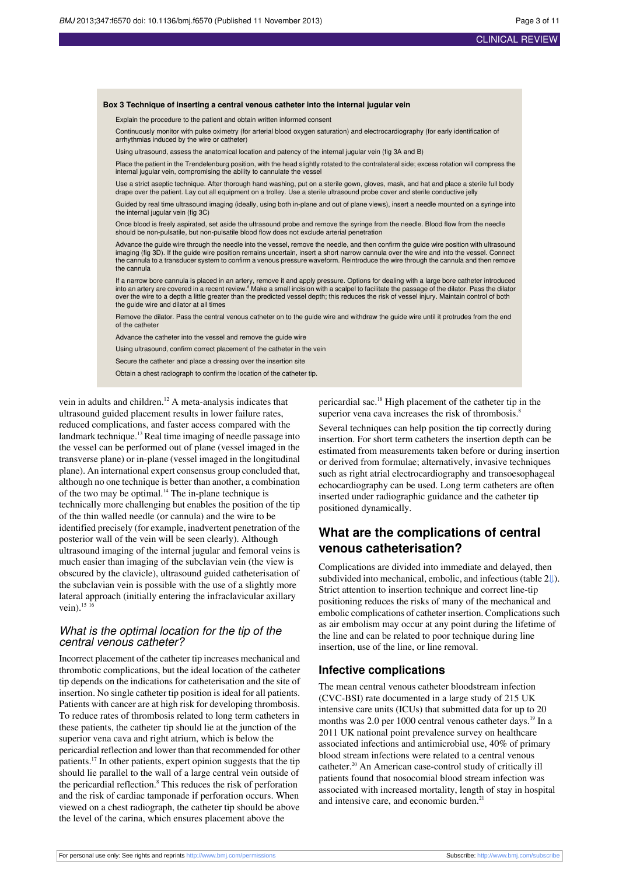## **Box 3 Technique of inserting a central venous catheter into the internal jugular vein**

Explain the procedure to the patient and obtain written informed consent

Continuously monitor with pulse oximetry (for arterial blood oxygen saturation) and electrocardiography (for early identification of arrhythmias induced by the wire or catheter)

Using ultrasound, assess the anatomical location and patency of the internal jugular vein (fig 3A and B)

Place the patient in the Trendelenburg position, with the head slightly rotated to the contralateral side; excess rotation will compress the internal jugular vein, compromising the ability to cannulate the vessel

Use a strict aseptic technique. After thorough hand washing, put on a sterile gown, gloves, mask, and hat and place a sterile full body drape over the patient. Lay out all equipment on a trolley. Use a sterile ultrasound probe cover and sterile conductive jelly

Guided by real time ultrasound imaging (ideally, using both in-plane and out of plane views), insert a needle mounted on a syringe into the internal jugular vein (fig 3C)

Once blood is freely aspirated, set aside the ultrasound probe and remove the syringe from the needle. Blood flow from the needle should be non-pulsatile, but non-pulsatile blood flow does not exclude arterial penetration

Advance the guide wire through the needle into the vessel, remove the needle, and then confirm the guide wire position with ultrasound imaging (fig 3D). If the guide wire position remains uncertain, insert a short narrow cannula over the wire and into the vessel. Connect the cannula to a transducer system to confirm a venous pressure waveform. Reintroduce the wire through the cannula and then remove the cannula

If a narrow bore cannula is placed in an artery, remove it and apply pressure. Options for dealing with a large bore catheter introduced<br>into an artery are covered in a recent review.<sup>s</sup> Make a small incision with a scalpe over the wire to a depth a little greater than the predicted vessel depth; this reduces the risk of vessel injury. Maintain control of both the guide wire and dilator at all times

Remove the dilator. Pass the central venous catheter on to the guide wire and withdraw the guide wire until it protrudes from the end of the catheter

Advance the catheter into the vessel and remove the guide wire

Using ultrasound, confirm correct placement of the catheter in the vein

Secure the catheter and place a dressing over the insertion site

Obtain a chest radiograph to confirm the location of the catheter tip.

vein in adults and children.<sup>12</sup> A meta-analysis indicates that ultrasound guided placement results in lower failure rates, reduced complications, and faster access compared with the landmark technique.<sup>13</sup> Real time imaging of needle passage into the vessel can be performed out of plane (vessel imaged in the transverse plane) or in-plane (vessel imaged in the longitudinal plane). An international expert consensus group concluded that, although no one technique is better than another, a combination of the two may be optimal.<sup>14</sup> The in-plane technique is technically more challenging but enables the position of the tip of the thin walled needle (or cannula) and the wire to be identified precisely (for example, inadvertent penetration of the posterior wall of the vein will be seen clearly). Although ultrasound imaging of the internal jugular and femoral veins is much easier than imaging of the subclavian vein (the view is obscured by the clavicle), ultrasound guided catheterisation of the subclavian vein is possible with the use of a slightly more lateral approach (initially entering the infraclavicular axillary vein).<sup>15 16</sup>

#### What is the optimal location for the tip of the central venous catheter?

Incorrect placement of the catheter tip increases mechanical and thrombotic complications, but the ideal location of the catheter tip depends on the indications for catheterisation and the site of insertion. No single catheter tip position is ideal for all patients. Patients with cancer are at high risk for developing thrombosis. To reduce rates of thrombosis related to long term catheters in these patients, the catheter tip should lie at the junction of the superior vena cava and right atrium, which is below the pericardial reflection and lower than that recommended for other patients.<sup>17</sup> In other patients, expert opinion suggests that the tip should lie parallel to the wall of a large central vein outside of the pericardial reflection.<sup>8</sup> This reduces the risk of perforation and the risk of cardiac tamponade if perforation occurs. When viewed on a chest radiograph, the catheter tip should be above the level of the carina, which ensures placement above the

pericardial sac.<sup>18</sup> High placement of the catheter tip in the superior vena cava increases the risk of thrombosis.<sup>8</sup>

Several techniques can help position the tip correctly during insertion. For short term catheters the insertion depth can be estimated from measurements taken before or during insertion or derived from formulae; alternatively, invasive techniques such as right atrial electrocardiography and transoesophageal echocardiography can be used. Long term catheters are often inserted under radiographic guidance and the catheter tip positioned dynamically.

## **What are the complications of central venous catheterisation?**

Complications are divided into immediate and delayed, then subdivided into mechanical, embolic, and infectious (table [2⇓](#page-8-0)). Strict attention to insertion technique and correct line-tip positioning reduces the risks of many of the mechanical and embolic complications of catheter insertion. Complications such as air embolism may occur at any point during the lifetime of the line and can be related to poor technique during line insertion, use of the line, or line removal.

#### **Infective complications**

The mean central venous catheter bloodstream infection (CVC-BSI) rate documented in a large study of 215 UK intensive care units (ICUs) that submitted data for up to 20 months was 2.0 per 1000 central venous catheter days.<sup>19</sup> In a 2011 UK national point prevalence survey on healthcare associated infections and antimicrobial use, 40% of primary blood stream infections were related to a central venous catheter.<sup>20</sup> An American case-control study of critically ill patients found that nosocomial blood stream infection was associated with increased mortality, length of stay in hospital and intensive care, and economic burden.<sup>21</sup>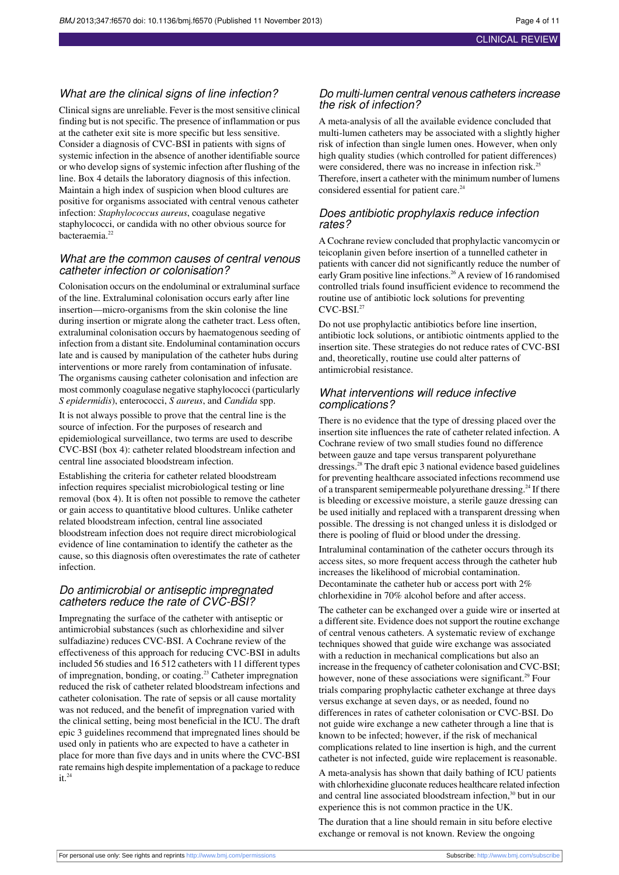### What are the clinical signs of line infection?

Clinical signs are unreliable. Fever is the most sensitive clinical finding but is not specific. The presence of inflammation or pus at the catheter exit site is more specific but less sensitive. Consider a diagnosis of CVC-BSI in patients with signs of systemic infection in the absence of another identifiable source or who develop signs of systemic infection after flushing of the line. Box 4 details the laboratory diagnosis of this infection. Maintain a high index of suspicion when blood cultures are positive for organisms associated with central venous catheter infection: *Staphylococcus aureus*, coagulase negative staphylococci, or candida with no other obvious source for bacteraemia.<sup>22</sup>

#### What are the common causes of central venous catheter infection or colonisation?

Colonisation occurs on the endoluminal or extraluminal surface of the line. Extraluminal colonisation occurs early after line insertion—micro-organisms from the skin colonise the line during insertion or migrate along the catheter tract. Less often, extraluminal colonisation occurs by haematogenous seeding of infection from a distant site. Endoluminal contamination occurs late and is caused by manipulation of the catheter hubs during interventions or more rarely from contamination of infusate. The organisms causing catheter colonisation and infection are most commonly coagulase negative staphylococci (particularly *S epidermidis*), enterococci, *S aureus*, and *Candida* spp.

It is not always possible to prove that the central line is the source of infection. For the purposes of research and epidemiological surveillance, two terms are used to describe CVC-BSI (box 4): catheter related bloodstream infection and central line associated bloodstream infection.

Establishing the criteria for catheter related bloodstream infection requires specialist microbiological testing or line removal (box 4). It is often not possible to remove the catheter or gain access to quantitative blood cultures. Unlike catheter related bloodstream infection, central line associated bloodstream infection does not require direct microbiological evidence of line contamination to identify the catheter as the cause, so this diagnosis often overestimates the rate of catheter infection.

#### Do antimicrobial or antiseptic impregnated catheters reduce the rate of CVC-BSI?

Impregnating the surface of the catheter with antiseptic or antimicrobial substances (such as chlorhexidine and silver sulfadiazine) reduces CVC-BSI. A Cochrane review of the effectiveness of this approach for reducing CVC-BSI in adults included 56 studies and 16 512 catheters with 11 different types of impregnation, bonding, or coating.<sup>23</sup> Catheter impregnation reduced the risk of catheter related bloodstream infections and catheter colonisation. The rate of sepsis or all cause mortality was not reduced, and the benefit of impregnation varied with the clinical setting, being most beneficial in the ICU. The draft epic 3 guidelines recommend that impregnated lines should be used only in patients who are expected to have a catheter in place for more than five days and in units where the CVC-BSI rate remains high despite implementation of a package to reduce  $it.<sup>24</sup>$ 

#### Do multi-lumen central venous catheters increase the risk of infection?

A meta-analysis of all the available evidence concluded that multi-lumen catheters may be associated with a slightly higher risk of infection than single lumen ones. However, when only high quality studies (which controlled for patient differences) were considered, there was no increase in infection risk.<sup>25</sup> Therefore, insert a catheter with the minimum number of lumens considered essential for patient care.<sup>24</sup>

### Does antibiotic prophylaxis reduce infection rates?

A Cochrane review concluded that prophylactic vancomycin or teicoplanin given before insertion of a tunnelled catheter in patients with cancer did not significantly reduce the number of early Gram positive line infections.<sup>26</sup> A review of 16 randomised controlled trials found insufficient evidence to recommend the routine use of antibiotic lock solutions for preventing CVC-BSI.<sup>27</sup>

Do not use prophylactic antibiotics before line insertion, antibiotic lock solutions, or antibiotic ointments applied to the insertion site. These strategies do not reduce rates of CVC-BSI and, theoretically, routine use could alter patterns of antimicrobial resistance.

#### What interventions will reduce infective complications?

There is no evidence that the type of dressing placed over the insertion site influences the rate of catheter related infection. A Cochrane review of two small studies found no difference between gauze and tape versus transparent polyurethane dressings.<sup>28</sup> The draft epic 3 national evidence based guidelines for preventing healthcare associated infections recommend use of a transparent semipermeable polyurethane dressing.<sup>24</sup> If there is bleeding or excessive moisture, a sterile gauze dressing can be used initially and replaced with a transparent dressing when possible. The dressing is not changed unless it is dislodged or there is pooling of fluid or blood under the dressing.

Intraluminal contamination of the catheter occurs through its access sites, so more frequent access through the catheter hub increases the likelihood of microbial contamination. Decontaminate the catheter hub or access port with 2% chlorhexidine in 70% alcohol before and after access.

The catheter can be exchanged over a guide wire or inserted at a different site. Evidence does not support the routine exchange of central venous catheters. A systematic review of exchange techniques showed that guide wire exchange was associated with a reduction in mechanical complications but also an increase in the frequency of catheter colonisation and CVC-BSI; however, none of these associations were significant.<sup>29</sup> Four trials comparing prophylactic catheter exchange at three days versus exchange at seven days, or as needed, found no differences in rates of catheter colonisation or CVC-BSI. Do not guide wire exchange a new catheter through a line that is known to be infected; however, if the risk of mechanical complications related to line insertion is high, and the current catheter is not infected, guide wire replacement is reasonable. A meta-analysis has shown that daily bathing of ICU patients with chlorhexidine gluconate reduces healthcare related infection and central line associated bloodstream infection,<sup>30</sup> but in our experience this is not common practice in the UK.

The duration that a line should remain in situ before elective exchange or removal is not known. Review the ongoing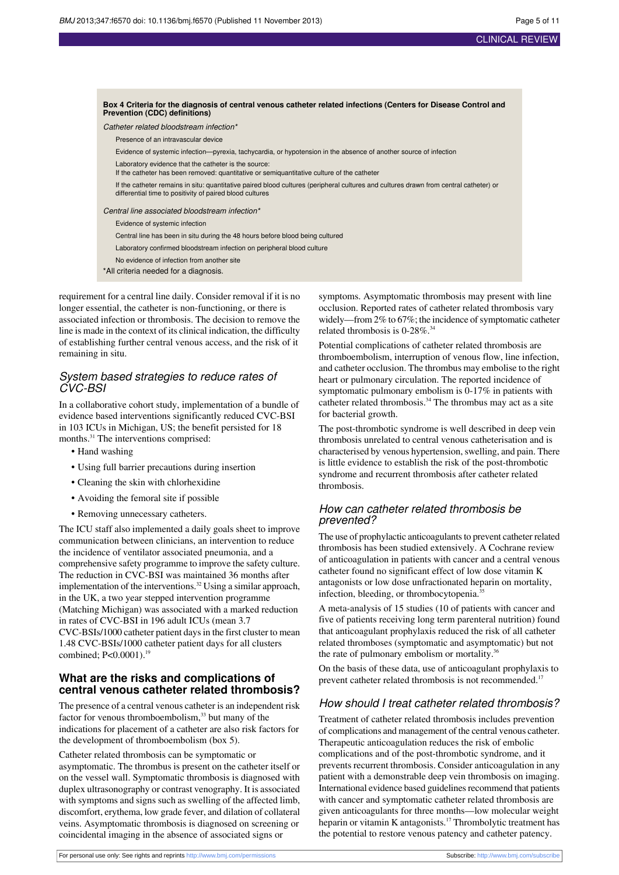| Box 4 Criteria for the diagnosis of central venous catheter related infections (Centers for Disease Control and<br><b>Prevention (CDC) definitions)</b>                                           |  |  |  |  |  |
|---------------------------------------------------------------------------------------------------------------------------------------------------------------------------------------------------|--|--|--|--|--|
| Catheter related bloodstream infection*                                                                                                                                                           |  |  |  |  |  |
| Presence of an intravascular device                                                                                                                                                               |  |  |  |  |  |
| Evidence of systemic infection—pyrexia, tachycardia, or hypotension in the absence of another source of infection                                                                                 |  |  |  |  |  |
| Laboratory evidence that the catheter is the source:<br>If the catheter has been removed: quantitative or semiquantitative culture of the catheter                                                |  |  |  |  |  |
| If the catheter remains in situ: quantitative paired blood cultures (peripheral cultures and cultures drawn from central catheter) or<br>differential time to positivity of paired blood cultures |  |  |  |  |  |
| Central line associated bloodstream infection*                                                                                                                                                    |  |  |  |  |  |
| Evidence of systemic infection                                                                                                                                                                    |  |  |  |  |  |
| Central line has been in situ during the 48 hours before blood being cultured                                                                                                                     |  |  |  |  |  |
| Laboratory confirmed bloodstream infection on peripheral blood culture                                                                                                                            |  |  |  |  |  |
| No evidence of infection from another site                                                                                                                                                        |  |  |  |  |  |

\*All criteria needed for a diagnosis.

requirement for a central line daily. Consider removal if it is no longer essential, the catheter is non-functioning, or there is associated infection or thrombosis. The decision to remove the line is made in the context of its clinical indication, the difficulty of establishing further central venous access, and the risk of it remaining in situ.

#### System based strategies to reduce rates of CVC-BSI

In a collaborative cohort study, implementation of a bundle of evidence based interventions significantly reduced CVC-BSI in 103 ICUs in Michigan, US; the benefit persisted for 18 months.<sup>31</sup> The interventions comprised:

- **•** Hand washing
- **•** Using full barrier precautions during insertion
- **•** Cleaning the skin with chlorhexidine
- **•** Avoiding the femoral site if possible
- **•** Removing unnecessary catheters.

The ICU staff also implemented a daily goals sheet to improve communication between clinicians, an intervention to reduce the incidence of ventilator associated pneumonia, and a comprehensive safety programme to improve the safety culture. The reduction in CVC-BSI was maintained 36 months after implementation of the interventions.<sup>32</sup> Using a similar approach, in the UK, a two year stepped intervention programme (Matching Michigan) was associated with a marked reduction in rates of CVC-BSI in 196 adult ICUs (mean 3.7 CVC-BSIs/1000 catheter patient daysin the first cluster to mean 1.48 CVC-BSIs/1000 catheter patient days for all clusters combined; P<0.0001).<sup>19</sup>

#### **What are the risks and complications of central venous catheter related thrombosis?**

The presence of a central venous catheter is an independent risk factor for venous thromboembolism,<sup>33</sup> but many of the indications for placement of a catheter are also risk factors for the development of thromboembolism (box 5).

Catheter related thrombosis can be symptomatic or asymptomatic. The thrombus is present on the catheter itself or on the vessel wall. Symptomatic thrombosis is diagnosed with duplex ultrasonography or contrast venography. It is associated with symptoms and signs such as swelling of the affected limb, discomfort, erythema, low grade fever, and dilation of collateral veins. Asymptomatic thrombosis is diagnosed on screening or coincidental imaging in the absence of associated signs or

symptoms. Asymptomatic thrombosis may present with line occlusion. Reported rates of catheter related thrombosis vary widely—from  $2\%$  to  $67\%$ ; the incidence of symptomatic catheter related thrombosis is 0-28%.<sup>34</sup>

Potential complications of catheter related thrombosis are thromboembolism, interruption of venous flow, line infection, and catheter occlusion. The thrombus may embolise to the right heart or pulmonary circulation. The reported incidence of symptomatic pulmonary embolism is 0-17% in patients with catheter related thrombosis.<sup>34</sup> The thrombus may act as a site for bacterial growth.

The post-thrombotic syndrome is well described in deep vein thrombosis unrelated to central venous catheterisation and is characterised by venous hypertension, swelling, and pain. There is little evidence to establish the risk of the post-thrombotic syndrome and recurrent thrombosis after catheter related thrombosis.

#### How can catheter related thrombosis be prevented?

The use of prophylactic anticoagulants to prevent catheter related thrombosis has been studied extensively. A Cochrane review of anticoagulation in patients with cancer and a central venous catheter found no significant effect of low dose vitamin K antagonists or low dose unfractionated heparin on mortality, infection, bleeding, or thrombocytopenia.<sup>3</sup>

A meta-analysis of 15 studies (10 of patients with cancer and five of patients receiving long term parenteral nutrition) found that anticoagulant prophylaxis reduced the risk of all catheter related thromboses (symptomatic and asymptomatic) but not the rate of pulmonary embolism or mortality.<sup>36</sup>

On the basis of these data, use of anticoagulant prophylaxis to prevent catheter related thrombosis is not recommended.<sup>17</sup>

#### How should I treat catheter related thrombosis?

Treatment of catheter related thrombosis includes prevention of complications and management of the central venous catheter. Therapeutic anticoagulation reduces the risk of embolic complications and of the post-thrombotic syndrome, and it prevents recurrent thrombosis. Consider anticoagulation in any patient with a demonstrable deep vein thrombosis on imaging. International evidence based guidelines recommend that patients with cancer and symptomatic catheter related thrombosis are given anticoagulants for three months—low molecular weight heparin or vitamin K antagonists.<sup>17</sup> Thrombolytic treatment has the potential to restore venous patency and catheter patency.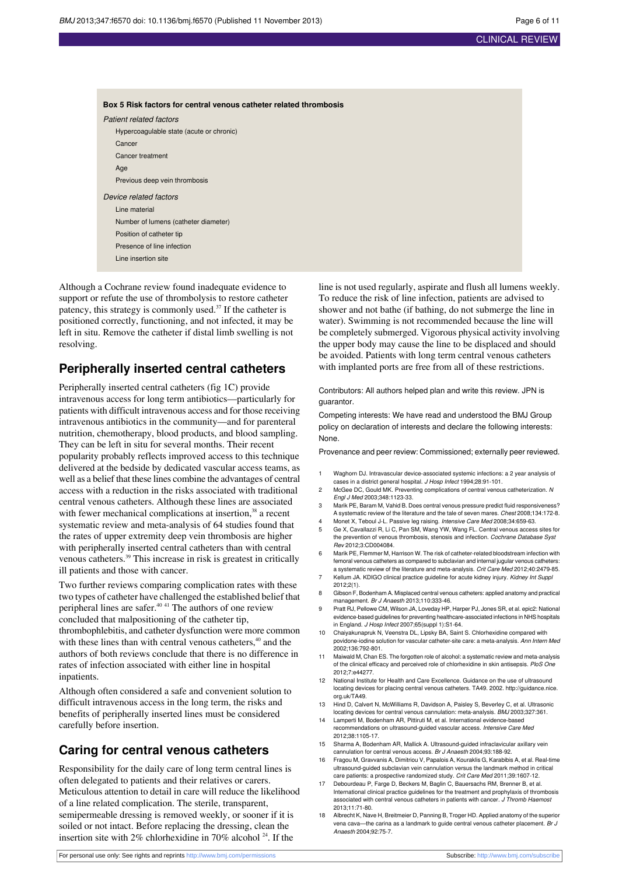**Box 5 Risk factors for central venous catheter related thrombosis** Patient related factors Hypercoagulable state (acute or chronic) **Cancer** Cancer treatment Age Previous deep vein thrombosis Device related factors Line material Number of lumens (catheter diameter) Position of catheter tip Presence of line infection Line insertion site

Although a Cochrane review found inadequate evidence to support or refute the use of thrombolysis to restore catheter patency, this strategy is commonly used.<sup>37</sup> If the catheter is positioned correctly, functioning, and not infected, it may be left in situ. Remove the catheter if distal limb swelling is not resolving.

## **Peripherally inserted central catheters**

Peripherally inserted central catheters (fig 1C) provide intravenous access for long term antibiotics—particularly for patients with difficult intravenous access and for those receiving intravenous antibiotics in the community—and for parenteral nutrition, chemotherapy, blood products, and blood sampling. They can be left in situ for several months. Their recent popularity probably reflects improved access to this technique delivered at the bedside by dedicated vascular access teams, as well as a belief that these lines combine the advantages of central access with a reduction in the risks associated with traditional central venous catheters. Although these lines are associated with fewer mechanical complications at insertion,<sup>38</sup> a recent systematic review and meta-analysis of 64 studies found that the rates of upper extremity deep vein thrombosis are higher with peripherally inserted central catheters than with central venous catheters.<sup>39</sup> This increase in risk is greatest in critically ill patients and those with cancer.

Two further reviews comparing complication rates with these two types of catheter have challenged the established belief that peripheral lines are safer.<sup>40 41</sup> The authors of one review concluded that malpositioning of the catheter tip, thrombophlebitis, and catheter dysfunction were more common with these lines than with central venous catheters,<sup>40</sup> and the authors of both reviews conclude that there is no difference in rates of infection associated with either line in hospital inpatients.

Although often considered a safe and convenient solution to difficult intravenous access in the long term, the risks and benefits of peripherally inserted lines must be considered carefully before insertion.

## **Caring for central venous catheters**

Responsibility for the daily care of long term central lines is often delegated to patients and their relatives or carers. Meticulous attention to detail in care will reduce the likelihood of a line related complication. The sterile, transparent, semipermeable dressing is removed weekly, or sooner if it is soiled or not intact. Before replacing the dressing, clean the insertion site with 2% chlorhexidine in 70% alcohol  $24$ . If the

line is not used regularly, aspirate and flush all lumens weekly. To reduce the risk of line infection, patients are advised to shower and not bathe (if bathing, do not submerge the line in water). Swimming is not recommended because the line will be completely submerged. Vigorous physical activity involving the upper body may cause the line to be displaced and should be avoided. Patients with long term central venous catheters with implanted ports are free from all of these restrictions.

Contributors: All authors helped plan and write this review. JPN is guarantor.

Competing interests: We have read and understood the BMJ Group policy on declaration of interests and declare the following interests: None.

Provenance and peer review: Commissioned; externally peer reviewed.

- 1 Waghorn DJ. Intravascular device-associated systemic infections: a 2 year analysis of cases in a district general hospital. J Hosp Infect 1994;28:91-101.
- 2 McGee DC, Gould MK. Preventing complications of central venous catheterization. N Engl J Med 2003;348:1123-33.
- 3 Marik PE, Baram M, Vahid B. Does central venous pressure predict fluid responsiveness? A systematic review of the literature and the tale of seven mares. Chest 2008;134:172-8. 4 Monet X, Teboul J-L. Passive leg raising. Intensive Care Med 2008;34:659-63.
- 5 Ge X, Cavallazzi R, Li C, Pan SM, Wang YW, Wang FL. Central venous access sites for the prevention of venous thrombosis, stenosis and infection. Cochrane Database Syst Rev 2012;3:CD004084.
- 6 Marik PE, Flemmer M, Harrison W. The risk of catheter-related bloodstream infection with femoral venous catheters as compared to subclavian and internal jugular venous catheters: a systematic review of the literature and meta-analysis. Crit Care Med 2012;40:2479-85.
- Kellum JA. KDIGO clinical practice guideline for acute kidney injury. Kidney Int Suppl 2012;2(1).
- 8 Gibson F, Bodenham A. Misplaced central venous catheters: applied anatomy and practical management. Br J Anaesth 2013;110:333-46.
- 9 Pratt RJ, Pellowe CM, Wilson JA, Loveday HP, Harper PJ, Jones SR, et al. epic2: National evidence-based guidelines for preventing healthcare-associated infections in NHS hospitals in England. J Hosp Infect 2007;65(suppl 1):S1-64.
- 10 Chaiyakunapruk N, Veenstra DL, Lipsky BA, Saint S. Chlorhexidine compared with povidone-iodine solution for vascular catheter-site care: a meta-analysis. Ann Intern Med 2002;136:792-801.
- Maiwald M, Chan ES. The forgotten role of alcohol: a systematic review and meta-analysis of the clinical efficacy and perceived role of chlorhexidine in skin antisepsis. PloS One 2012;7:e44277.
- 12 National Institute for Health and Care Excellence. Guidance on the use of ultrasound locating devices for placing central venous catheters. TA49. 2002. [http://guidance.nice.](http://guidance.nice.org.uk/TA49) [org.uk/TA49.](http://guidance.nice.org.uk/TA49)
- 13 Hind D, Calvert N, McWilliams R, Davidson A, Paisley S, Beverley C, et al. Ultrasonic locating devices for central venous cannulation: meta-analysis. BMJ 2003;327:361.
- 14 Lamperti M, Bodenham AR, Pittiruti M, et al. International evidence-based recommendations on ultrasound-guided vascular access. Intensive Care Med 2012;38:1105-17.
- 15 Sharma A, Bodenham AR, Mallick A. Ultrasound-guided infraclavicular axillary vein cannulation for central venous access. Br J Anaesth 2004;93:188-92.
- 16 Fragou M, Gravvanis A, Dimitriou V, Papalois A, Kouraklis G, Karabibis A, et al. Real-time ultrasound-guided subclavian vein cannulation versus the landmark method in critical care patients: a prospective randomized study. Crit Care Med 2011;39:1607-12.
- 17 Debourdeau P, Farge D, Beckers M, Baglin C, Bauersachs RM, Brenner B, et al. International clinical practice guidelines for the treatment and prophylaxis of thrombosis associated with central venous catheters in patients with cancer. J Thromb Haemost 2013;11:71-80.
- 18 Albrecht K, Nave H, Breitmeier D, Panning B, Troger HD. Applied anatomy of the superior vena cava—the carina as a landmark to guide central venous catheter placement. Br J Anaesth 2004;92:75-7.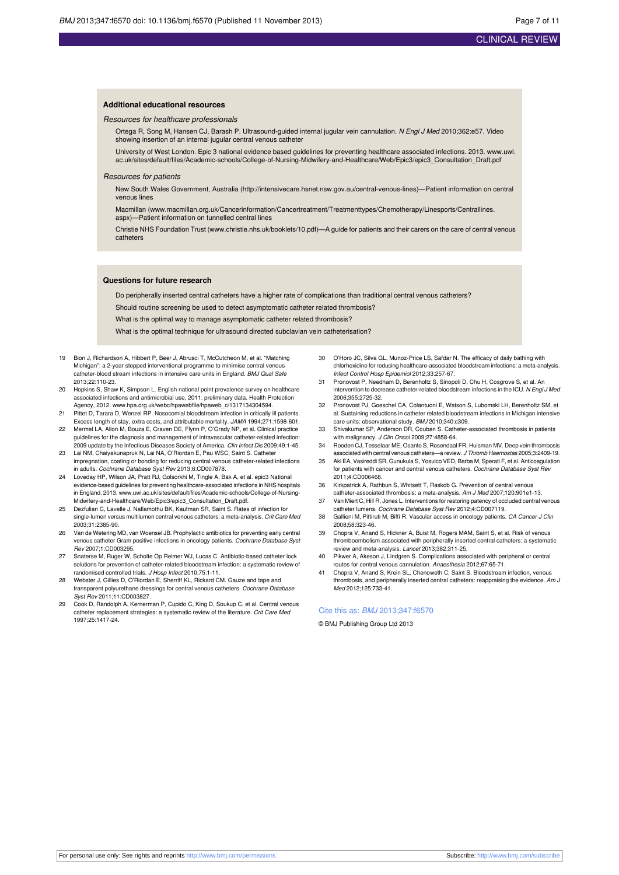#### **Additional educational resources**

#### Resources for healthcare professionals

Ortega R, Song M, Hansen CJ, Barash P. Ultrasound-guided internal jugular vein cannulation. N Engl J Med 2010;362:e57. Video wing insertion of an internal jugular central venous cathete

University of West London. Epic 3 national evidence based guidelines for preventing healthcare associated infections. 2013. [www.uwl.](http://www.uwl.ac.uk/sites/default/files/Academic-schools/College-of-Nursing-Midwifery-and-Healthcare/Web/Epic3/epic3_Consultation_Draft.pdf) [ac.uk/sites/default/files/Academic-schools/College-of-Nursing-Midwifery-and-Healthcare/Web/Epic3/epic3\\_Consultation\\_Draft.pdf](http://www.uwl.ac.uk/sites/default/files/Academic-schools/College-of-Nursing-Midwifery-and-Healthcare/Web/Epic3/epic3_Consultation_Draft.pdf)

#### Resources for patients

New South Wales Government, Australia ([http://intensivecare.hsnet.nsw.gov.au/central-venous-lines\)](http://intensivecare.hsnet.nsw.gov.au/central-venous-lines)—Patient information on central venous lines

Macmillan [\(www.macmillan.org.uk/Cancerinformation/Cancertreatment/Treatmenttypes/Chemotherapy/Linesports/Centrallines.](http://www.macmillan.org.uk/Cancerinformation/Cancertreatment/Treatmenttypes/Chemotherapy/Linesports/Centrallines.aspx) [aspx\)](http://www.macmillan.org.uk/Cancerinformation/Cancertreatment/Treatmenttypes/Chemotherapy/Linesports/Centrallines.aspx)—Patient information on tunnelled central lines

Christie NHS Foundation Trust ([www.christie.nhs.uk/booklets/10.pdf](http://www.christie.nhs.uk/booklets/10.pdf))—A guide for patients and their carers on the care of central venous catheters

#### **Questions for future research**

Do peripherally inserted central catheters have a higher rate of complications than traditional central venous catheters?

Should routine screening be used to detect asymptomatic catheter related thrombosis?

What is the optimal way to manage asymptomatic catheter related thrombosis?

What is the optimal technique for ultrasound directed subclavian vein catheterisation?

- 19 Bion J, Richardson A, Hibbert P, Beer J, Abrusci T, McCutcheon M, et al. "Matching Michigan": a 2-year stepped interventional programme to minimise central venous catheter-blood stream infections in intensive care units in England. BMJ Qual Safe 2013;22:110-23.
- 20 Hopkins S, Shaw K, Simpson L. English national point prevalence survey on healthcare associated infections and antimicrobial use, 2011: preliminary data. Health Protection Agency, 2012. [www.hpa.org.uk/webc/hpawebfile/hpaweb\\_c/1317134304594](http://www.hpa.org.uk/webc/hpawebfile/hpaweb_c/1317134304594).
- 21 Pittet D, Tarara D, Wenzel RP. Nosocomial bloodstream infection in critically ill patients. Excess length of stay, extra costs, and attributable mortality. JAMA 1994;271:1598-601.
- 22 Mermel LA, Allon M, Bouza E, Craven DE, Flynn P, O'Grady NP, et al. Clinical practice guidelines for the diagnosis and management of intravascular catheter-related infection: 2009 update by the Infectious Diseases Society of America. Clin Infect Dis 2009;49:1-45.
- 23 Lai NM, Chaiyakunapruk N, Lai NA, O'Riordan E, Pau WSC, Saint S. Catheter impregnation, coating or bonding for reducing central venous catheter-related infections in adults. Cochrane Database Syst Rev 2013;6:CD007878.
- 24 Loveday HP, Wilson JA, Pratt RJ, Golsorkhi M, Tingle A, Bak A, et al. epic3 National evidence-based guidelines for preventing healthcare-associated infections in NHS hospitals in England. 2013. [www.uwl.ac.uk/sites/default/files/Academic-schools/College-of-Nursing-](http://www.uwl.ac.uk/sites/default/files/Academic-schools/College-of-Nursing-Midwifery-and-Healthcare/Web/Epic3/epic3_Consultation_Draft.pdf)[Midwifery-and-Healthcare/Web/Epic3/epic3\\_Consultation\\_Draft.pdf.](http://www.uwl.ac.uk/sites/default/files/Academic-schools/College-of-Nursing-Midwifery-and-Healthcare/Web/Epic3/epic3_Consultation_Draft.pdf)
- 25 Dezfulian C, Lavelle J, Nallamothu BK, Kaufman SR, Saint S. Rates of infection for single-lumen versus multilumen central venous catheters: a meta-analysis. Crit Care Med 2003;31:2385-90.
- 26 Van de Wetering MD, van Woensel JB. Prophylactic antibiotics for preventing early central venous catheter Gram positive infections in oncology patients. Cochrane Database Syst Rev 2007;1:CD003295.
- 27 Snaterse M, Ruger W, Scholte Op Reimer WJ, Lucas C. Antibiotic-based catheter lock solutions for prevention of catheter-related bloodstream infection: a systematic review of randomised controlled trials. J Hosp Infect 2010;75:1-11.
- 28 Webster J, Gillies D, O'Riordan E, Sherriff KL, Rickard CM. Gauze and tape and transparent polyurethane dressings for central venous catheters. Cochrane Database Syst Rev 2011;11:CD003827.
- 29 Cook D, Randolph A, Kernerman P, Cupido C, King D, Soukup C, et al. Central venous catheter replacement strategies: a systematic review of the literature. Crit Care Med 1997;25:1417-24.
- 30 O'Horo JC, Silva GL, Munoz-Price LS, Safdar N. The efficacy of daily bathing with chlorhexidine for reducing healthcare-associated bloodstream infections: a meta-analysis. Infect Control Hosp Epidemiol 2012;33:257-67.
- Pronovost P, Needham D, Berenholtz S, Sinopoli D, Chu H, Cosgrove S, et al. An intervention to decrease catheter-related bloodstream infections in the ICU. N Engl J Med 2006;355:2725-32.
- 32 Pronovost PJ, Goeschel CA, Colantuoni E, Watson S, Lubomski LH, Berenholtz SM, et al. Sustaining reductions in catheter related bloodstream infections in Michigan intensive
- care units: observational study. BMJ 2010;340:c309. 33 Shivakumar SP, Anderson DR, Couban S. Catheter-associated thrombosis in patients with malignancy. J Clin Oncol 2009;27:4858-64.
- 34 Rooden CJ, Tesselaar ME, Osanto S, Rosendaal FR, Huisman MV. Deep vein thrombosis associated with central venous catheters—a review. J Thromb Haemostas 2005;3:2409-19.
- 35 Akl EA, Vasireddi SR, Gunukula S, Yosuico VED, Barba M, Sperati F, et al. Anticoagulation for patients with cancer and central venous catheters. Cochrane Database Syst Rev 2011;4:CD006468.
- 36 Kirkpatrick A, Rathbun S, Whitsett T, Raskob G. Prevention of central venous catheter-associated thrombosis: a meta-analysis. Am J Med 2007;120:901e1-13.
- 37 Van Miert C, Hill R, Jones L. Interventions for restoring patency of occluded central venous catheter lumens. Cochrane Database Syst Rev 2012;4:CD007119.
- 38 Gallieni M, Pittiruti M, Biffi R. Vascular access in oncology patients. CA Cancer J Clin 2008;58:323-46.
- 39 Chopra V, Anand S, Hickner A, Buist M, Rogers MAM, Saint S, et al. Risk of venous thromboembolism associated with peripherally inserted central catheters: a systematic review and meta-analysis. Lancet 2013;382:311-25.
- 40 Pikwer A, Akeson J, Lindgren S. Complications associated with peripheral or central routes for central venous cannulation. Anaesthesia 2012;67:65-71.
- 41 Chopra V, Anand S, Krein SL, Chenoweth C, Saint S. Bloodstream infection, venous thrombosis, and peripherally inserted central catheters: reappraising the evidence. Am J Med 2012;125:733-41.

#### Cite this as: BMJ 2013;347:f6570

© BMJ Publishing Group Ltd 2013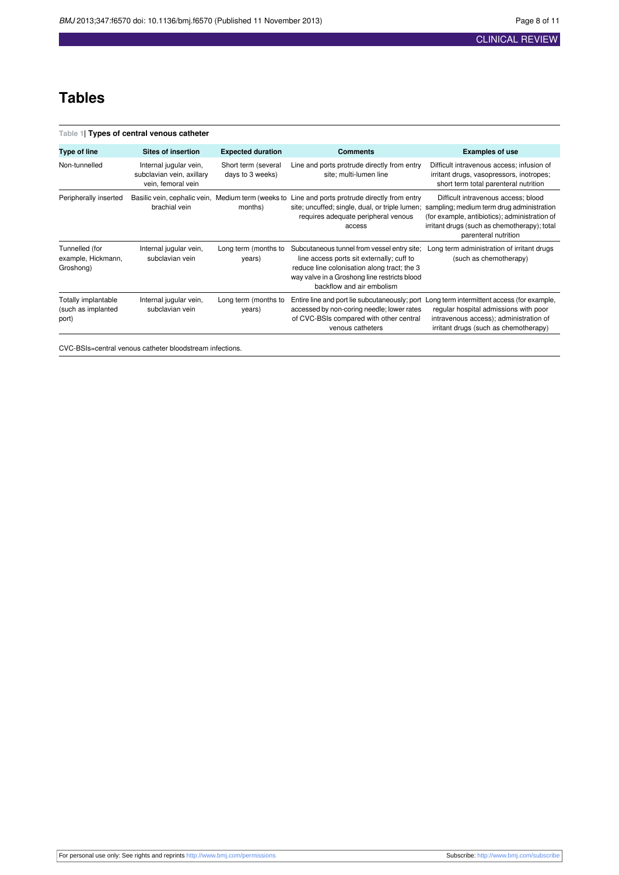## **Tables**

<span id="page-7-0"></span>

| Table 1  Types of central venous catheter          |                                                                           |                                         |                                                                                                                                                                                                                      |                                                                                                                                                                                                           |  |  |  |  |  |  |
|----------------------------------------------------|---------------------------------------------------------------------------|-----------------------------------------|----------------------------------------------------------------------------------------------------------------------------------------------------------------------------------------------------------------------|-----------------------------------------------------------------------------------------------------------------------------------------------------------------------------------------------------------|--|--|--|--|--|--|
| <b>Type of line</b>                                | <b>Sites of insertion</b>                                                 | <b>Expected duration</b>                | <b>Comments</b>                                                                                                                                                                                                      | <b>Examples of use</b>                                                                                                                                                                                    |  |  |  |  |  |  |
| Non-tunnelled                                      | Internal jugular vein,<br>subclavian vein, axillary<br>vein, femoral vein | Short term (several<br>days to 3 weeks) | Line and ports protrude directly from entry<br>site; multi-lumen line                                                                                                                                                | Difficult intravenous access; infusion of<br>irritant drugs, vasopressors, inotropes;<br>short term total parenteral nutrition                                                                            |  |  |  |  |  |  |
| Peripherally inserted                              | Basilic vein, cephalic vein, Medium term (weeks to<br>brachial vein       | months)                                 | Line and ports protrude directly from entry<br>site; uncuffed; single, dual, or triple lumen;<br>requires adequate peripheral venous<br>access                                                                       | Difficult intravenous access; blood<br>sampling; medium term drug administration<br>(for example, antibiotics); administration of<br>irritant drugs (such as chemotherapy); total<br>parenteral nutrition |  |  |  |  |  |  |
| Tunnelled (for<br>example, Hickmann,<br>Groshong)  | Internal jugular vein,<br>subclavian vein                                 | Long term (months to<br>years)          | Subcutaneous tunnel from vessel entry site;<br>line access ports sit externally; cuff to<br>reduce line colonisation along tract; the 3<br>way valve in a Groshong line restricts blood<br>backflow and air embolism | Long term administration of irritant drugs<br>(such as chemotherapy)                                                                                                                                      |  |  |  |  |  |  |
| Totally implantable<br>(such as implanted<br>port) | Internal jugular vein,<br>subclavian vein                                 | Long term (months to<br>years)          | Entire line and port lie subcutaneously; port<br>accessed by non-coring needle; lower rates<br>of CVC-BSIs compared with other central<br>venous catheters                                                           | Long term intermittent access (for example,<br>regular hospital admissions with poor<br>intravenous access); administration of<br>irritant drugs (such as chemotherapy)                                   |  |  |  |  |  |  |
|                                                    |                                                                           |                                         |                                                                                                                                                                                                                      |                                                                                                                                                                                                           |  |  |  |  |  |  |

CVC-BSIs=central venous catheter bloodstream infections.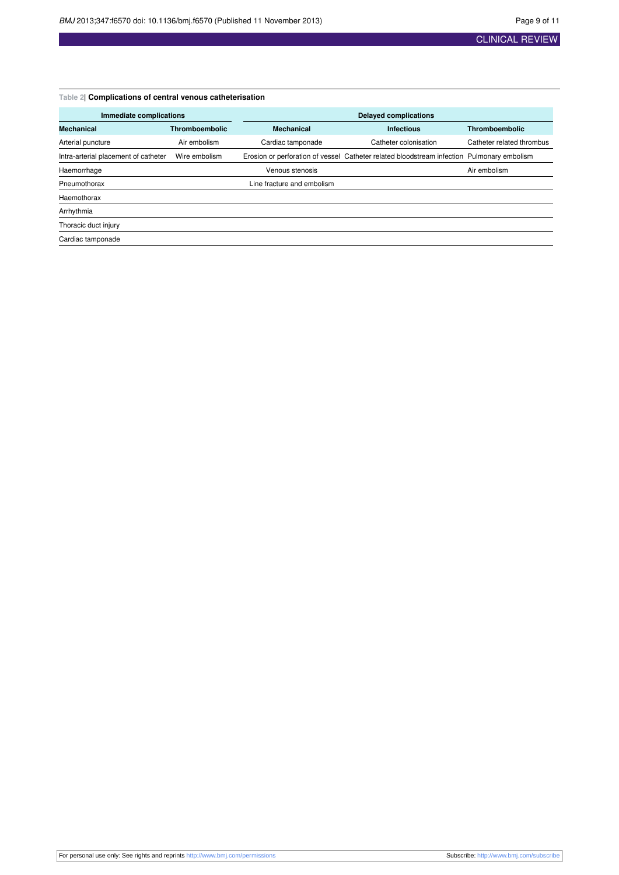## CLINICAL REVIEW

#### <span id="page-8-0"></span>**Table 2| Complications of central venous catheterisation**

| Immediate complications              |                       | <b>Delayed complications</b> |                                                                                            |                           |  |  |
|--------------------------------------|-----------------------|------------------------------|--------------------------------------------------------------------------------------------|---------------------------|--|--|
| <b>Mechanical</b>                    | <b>Thromboembolic</b> | <b>Mechanical</b>            | <b>Infectious</b>                                                                          | <b>Thromboembolic</b>     |  |  |
| Arterial puncture                    | Air embolism          | Cardiac tamponade            | Catheter colonisation                                                                      | Catheter related thrombus |  |  |
| Intra-arterial placement of catheter | Wire embolism         |                              | Erosion or perforation of vessel Catheter related bloodstream infection Pulmonary embolism |                           |  |  |
| Haemorrhage                          |                       | Venous stenosis              |                                                                                            | Air embolism              |  |  |
| Pneumothorax                         |                       | Line fracture and embolism   |                                                                                            |                           |  |  |
| Haemothorax                          |                       |                              |                                                                                            |                           |  |  |
| Arrhythmia                           |                       |                              |                                                                                            |                           |  |  |
| Thoracic duct injury                 |                       |                              |                                                                                            |                           |  |  |
| Cardiac tamponade                    |                       |                              |                                                                                            |                           |  |  |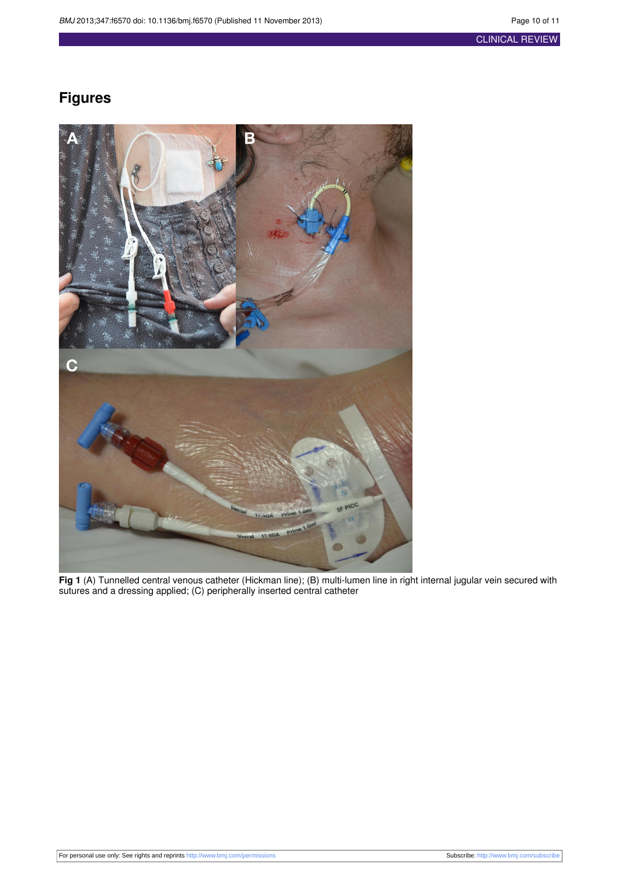## **Figures**

<span id="page-9-0"></span>

**Fig 1** (A) Tunnelled central venous catheter (Hickman line); (B) multi-lumen line in right internal jugular vein secured with sutures and a dressing applied; (C) peripherally inserted central catheter